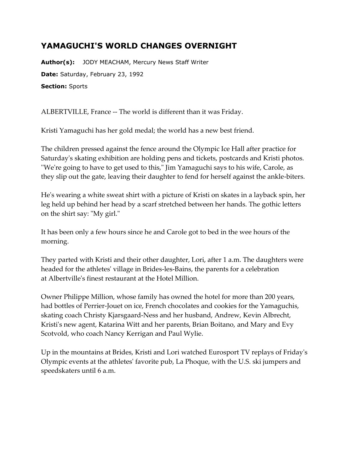## **YAMAGUCHI'S WORLD CHANGES OVERNIGHT**

**Author(s):** JODY MEACHAM, Mercury News Staff Writer **Date:** Saturday, February 23, 1992 **Section:** Sports

ALBERTVILLE, France -- The world is different than it was Friday.

Kristi Yamaguchi has her gold medal; the world has a new best friend.

The children pressed against the fence around the Olympic Ice Hall after practice for Saturday's skating exhibition are holding pens and tickets, postcards and Kristi photos. ''We're going to have to get used to this," Jim Yamaguchi says to his wife, Carole, as they slip out the gate, leaving their daughter to fend for herself against the ankle-biters.

He's wearing a white sweat shirt with a picture of Kristi on skates in a layback spin, her leg held up behind her head by a scarf stretched between her hands. The gothic letters on the shirt say: "My girl."

It has been only a few hours since he and Carole got to bed in the wee hours of the morning.

They parted with Kristi and their other daughter, Lori, after 1 a.m. The daughters were headed for the athletes' village in Brides-les-Bains, the parents for a celebration at Albertville's finest restaurant at the Hotel Million.

Owner Philippe Million, whose family has owned the hotel for more than 200 years, had bottles of Perrier-Jouet on ice, French chocolates and cookies for the Yamaguchis, skating coach Christy Kjarsgaard-Ness and her husband, Andrew, Kevin Albrecht, Kristi's new agent, Katarina Witt and her parents, Brian Boitano, and Mary and Evy Scotvold, who coach Nancy Kerrigan and Paul Wylie.

Up in the mountains at Brides, Kristi and Lori watched Eurosport TV replays of Friday's Olympic events at the athletes' favorite pub, La Phoque, with the U.S. ski jumpers and speedskaters until 6 a.m.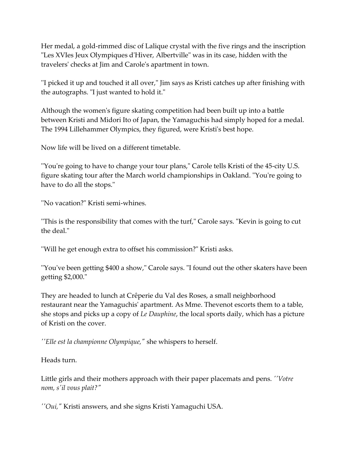Her medal, a gold-rimmed disc of Lalique crystal with the five rings and the inscription "Les XVIes Jeux Olympiques d'Hiver, Albertville" was in its case, hidden with the travelers' checks at Jim and Carole's apartment in town.

''I picked it up and touched it all over," Jim says as Kristi catches up after finishing with the autographs. "I just wanted to hold it."

Although the women's figure skating competition had been built up into a battle between Kristi and Midori Ito of Japan, the Yamaguchis had simply hoped for a medal. The 1994 Lillehammer Olympics, they figured, were Kristi's best hope.

Now life will be lived on a different timetable.

''You're going to have to change your tour plans," Carole tells Kristi of the 45-city U.S. figure skating tour after the March world championships in Oakland. "You're going to have to do all the stops."

''No vacation?" Kristi semi-whines.

''This is the responsibility that comes with the turf," Carole says. "Kevin is going to cut the deal."

''Will he get enough extra to offset his commission?" Kristi asks.

''You've been getting \$400 a show," Carole says. "I found out the other skaters have been getting \$2,000."

They are headed to lunch at Crêperie du Val des Roses, a small neighborhood restaurant near the Yamaguchis' apartment. As Mme. Thevenot escorts them to a table, she stops and picks up a copy of *Le Dauphine*, the local sports daily, which has a picture of Kristi on the cover.

*''Elle est la championne Olympique,"* she whispers to herself.

Heads turn.

Little girls and their mothers approach with their paper placemats and pens. *''Votre nom, s'il vous plait?"*

*''Oui,"* Kristi answers, and she signs Kristi Yamaguchi USA.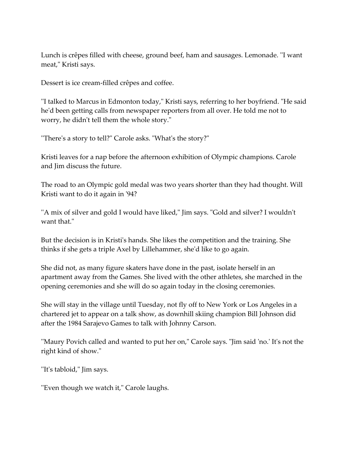Lunch is crêpes filled with cheese, ground beef, ham and sausages. Lemonade. ''I want meat," Kristi says.

Dessert is ice cream-filled crêpes and coffee.

''I talked to Marcus in Edmonton today," Kristi says, referring to her boyfriend. "He said he'd been getting calls from newspaper reporters from all over. He told me not to worry, he didn't tell them the whole story."

''There's a story to tell?" Carole asks. "What's the story?"

Kristi leaves for a nap before the afternoon exhibition of Olympic champions. Carole and Jim discuss the future.

The road to an Olympic gold medal was two years shorter than they had thought. Will Kristi want to do it again in '94?

''A mix of silver and gold I would have liked," Jim says. "Gold and silver? I wouldn't want that."

But the decision is in Kristi's hands. She likes the competition and the training. She thinks if she gets a triple Axel by Lillehammer, she'd like to go again.

She did not, as many figure skaters have done in the past, isolate herself in an apartment away from the Games. She lived with the other athletes, she marched in the opening ceremonies and she will do so again today in the closing ceremonies.

She will stay in the village until Tuesday, not fly off to New York or Los Angeles in a chartered jet to appear on a talk show, as downhill skiing champion Bill Johnson did after the 1984 Sarajevo Games to talk with Johnny Carson.

''Maury Povich called and wanted to put her on," Carole says. "Jim said 'no.' It's not the right kind of show."

''It's tabloid," Jim says.

''Even though we watch it," Carole laughs.